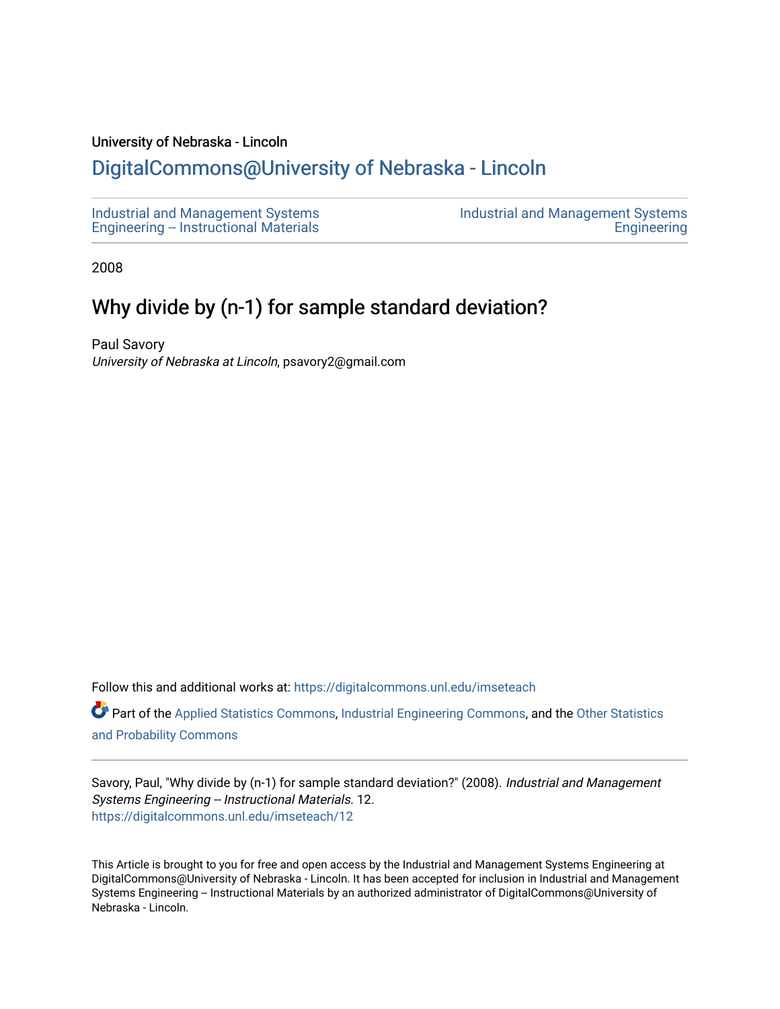#### University of Nebraska - Lincoln

# [DigitalCommons@University of Nebraska - Lincoln](https://digitalcommons.unl.edu/)

[Industrial and Management Systems](https://digitalcommons.unl.edu/imseteach)  [Engineering -- Instructional Materials](https://digitalcommons.unl.edu/imseteach)  [Industrial and Management Systems](https://digitalcommons.unl.edu/imse)  **Engineering** 

2008

# Why divide by (n-1) for sample standard deviation?

Paul Savory University of Nebraska at Lincoln, psavory2@gmail.com

Follow this and additional works at: [https://digitalcommons.unl.edu/imseteach](https://digitalcommons.unl.edu/imseteach?utm_source=digitalcommons.unl.edu%2Fimseteach%2F12&utm_medium=PDF&utm_campaign=PDFCoverPages) 

Part of the [Applied Statistics Commons](http://network.bepress.com/hgg/discipline/209?utm_source=digitalcommons.unl.edu%2Fimseteach%2F12&utm_medium=PDF&utm_campaign=PDFCoverPages), [Industrial Engineering Commons,](http://network.bepress.com/hgg/discipline/307?utm_source=digitalcommons.unl.edu%2Fimseteach%2F12&utm_medium=PDF&utm_campaign=PDFCoverPages) and the [Other Statistics](http://network.bepress.com/hgg/discipline/215?utm_source=digitalcommons.unl.edu%2Fimseteach%2F12&utm_medium=PDF&utm_campaign=PDFCoverPages) [and Probability Commons](http://network.bepress.com/hgg/discipline/215?utm_source=digitalcommons.unl.edu%2Fimseteach%2F12&utm_medium=PDF&utm_campaign=PDFCoverPages) 

Savory, Paul, "Why divide by (n-1) for sample standard deviation?" (2008). Industrial and Management Systems Engineering -- Instructional Materials. 12. [https://digitalcommons.unl.edu/imseteach/12](https://digitalcommons.unl.edu/imseteach/12?utm_source=digitalcommons.unl.edu%2Fimseteach%2F12&utm_medium=PDF&utm_campaign=PDFCoverPages)

This Article is brought to you for free and open access by the Industrial and Management Systems Engineering at DigitalCommons@University of Nebraska - Lincoln. It has been accepted for inclusion in Industrial and Management Systems Engineering -- Instructional Materials by an authorized administrator of DigitalCommons@University of Nebraska - Lincoln.